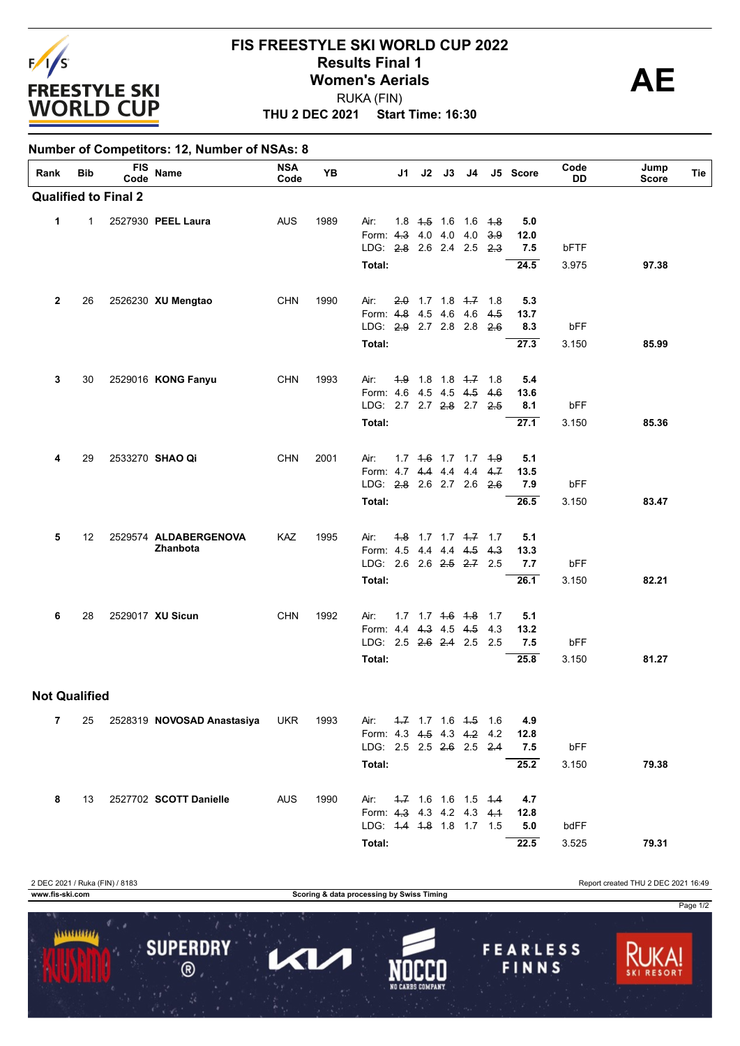

**Number of Competitors: 12, Number of NSAs: 8**

## **THU 2 DEC 2021 Start Time: 16:30 FIS FREESTYLE SKI WORLD CUP 2022 Results Final 1**<br> **Women's Aerials**<br>
PUKA (FIN) RUKA (FIN)

| Rank                 | Bib          | FIS<br>Code                 | Name                              | <b>NSA</b><br>Code | YB   |                                                   | J1 | $J2$ $J3$ | J4                      |      | J5 Score    | Code<br>DD | Jump<br><b>Score</b> | Tie |
|----------------------|--------------|-----------------------------|-----------------------------------|--------------------|------|---------------------------------------------------|----|-----------|-------------------------|------|-------------|------------|----------------------|-----|
|                      |              | <b>Qualified to Final 2</b> |                                   |                    |      |                                                   |    |           |                         |      |             |            |                      |     |
| 1                    | $\mathbf{1}$ |                             | 2527930 PEEL Laura                | AUS                | 1989 | Air:                                              |    |           | 1.8 4.5 1.6 1.6 4.8     |      | 5.0         |            |                      |     |
|                      |              |                             |                                   |                    |      | Form: 4.3 4.0 4.0 4.0<br>LDG: 2.8 2.6 2.4 2.5 2.3 |    |           |                         | 3.9  | 12.0<br>7.5 | bFTF       |                      |     |
|                      |              |                             |                                   |                    |      | Total:                                            |    |           |                         |      | 24.5        | 3.975      | 97.38                |     |
|                      |              |                             |                                   |                    |      |                                                   |    |           |                         |      |             |            |                      |     |
| $\mathbf{2}$         | 26           |                             | 2526230 XU Mengtao                | <b>CHN</b>         | 1990 | Air:                                              |    |           | $2.0$ 1.7 1.8 4.7 1.8   |      | 5.3         |            |                      |     |
|                      |              |                             |                                   |                    |      | Form: 4.8 4.5 4.6 4.6 4.5                         |    |           |                         |      | 13.7        |            |                      |     |
|                      |              |                             |                                   |                    |      | LDG: 2.9 2.7 2.8 2.8 2.6                          |    |           |                         |      | 8.3         | bFF        |                      |     |
|                      |              |                             |                                   |                    |      | Total:                                            |    |           |                         |      | 27.3        | 3.150      | 85.99                |     |
| 3                    | 30           |                             | 2529016 KONG Fanyu                | <b>CHN</b>         | 1993 | Air:                                              |    |           | $4.9$ 1.8 1.8 $4.7$ 1.8 |      | 5.4         |            |                      |     |
|                      |              |                             |                                   |                    |      | Form: 4.6 4.5 4.5 4.5                             |    |           |                         | -4.6 | 13.6        |            |                      |     |
|                      |              |                             |                                   |                    |      | LDG: 2.7 2.7 2.8 2.7 2.5                          |    |           |                         |      | 8.1         | bFF        |                      |     |
|                      |              |                             |                                   |                    |      | Total:                                            |    |           |                         |      | 27.1        | 3.150      | 85.36                |     |
| 4                    | 29           |                             | 2533270 SHAO Qi                   | <b>CHN</b>         | 2001 | Air:                                              |    |           | 1.7 4.6 1.7 1.7 4.9     |      | 5.1         |            |                      |     |
|                      |              |                             |                                   |                    |      | Form: 4.7 4.4 4.4 4.4                             |    |           |                         | 4.7  | 13.5        |            |                      |     |
|                      |              |                             |                                   |                    |      | LDG: 2.8 2.6 2.7 2.6 2.6                          |    |           |                         |      | 7.9         | bFF        |                      |     |
|                      |              |                             |                                   |                    |      | Total:                                            |    |           |                         |      | 26.5        | 3.150      | 83.47                |     |
| 5                    | 12           |                             | 2529574 ALDABERGENOVA             | KAZ                | 1995 | Air:                                              |    |           | $4.8$ 1.7 1.7 $4.7$ 1.7 |      | 5.1         |            |                      |     |
|                      |              |                             | Zhanbota                          |                    |      | Form: 4.5 4.4 4.4 4.5 4.3                         |    |           |                         |      | 13.3        |            |                      |     |
|                      |              |                             |                                   |                    |      | LDG: 2.6 2.6 2.5 2.7 2.5                          |    |           |                         |      | 7.7         | bFF        |                      |     |
|                      |              |                             |                                   |                    |      | Total:                                            |    |           |                         |      | 26.1        | 3.150      | 82.21                |     |
| 6                    | 28           |                             | 2529017 XU Sicun                  | <b>CHN</b>         | 1992 | Air:                                              |    |           | 1.7 1.7 4.6 4.8 1.7     |      | 5.1         |            |                      |     |
|                      |              |                             |                                   |                    |      | Form: 4.4 4.3 4.5 4.5                             |    |           |                         | 4.3  | 13.2        |            |                      |     |
|                      |              |                             |                                   |                    |      | LDG: 2.5 2.6 2.4 2.5 2.5                          |    |           |                         |      | 7.5         | bFF        |                      |     |
|                      |              |                             |                                   |                    |      | Total:                                            |    |           |                         |      | 25.8        | 3.150      | 81.27                |     |
| <b>Not Qualified</b> |              |                             |                                   |                    |      |                                                   |    |           |                         |      |             |            |                      |     |
| 7                    |              |                             | 25 2528319 NOVOSAD Anastasiya UKR |                    | 1993 | Air: 4.7 1.7 1.6 4.5 1.6                          |    |           |                         |      | 4.9         |            |                      |     |
|                      |              |                             |                                   |                    |      | Form: 4.3 4.5 4.3 4.2 4.2 12.8                    |    |           |                         |      |             |            |                      |     |
|                      |              |                             |                                   |                    |      | LDG: 2.5 2.5 <del>2.6</del> 2.5 <del>2.4</del>    |    |           |                         |      | 7.5         | bFF        |                      |     |
|                      |              |                             |                                   |                    |      | Total:                                            |    |           |                         |      | 25.2        | 3.150      | 79.38                |     |
| 8                    | 13           |                             | 2527702 SCOTT Danielle            | AUS.               | 1990 | Air: 4.7 1.6 1.6 1.5 4.4                          |    |           |                         |      | 4.7         |            |                      |     |
|                      |              |                             |                                   |                    |      | Form: 4-3 4.3 4.2 4.3 4.1                         |    |           |                         |      | 12.8        |            |                      |     |
|                      |              |                             |                                   |                    |      | LDG: 4.4 4.8 1.8 1.7 1.5                          |    |           |                         |      | 5.0         | bdFF       |                      |     |



**Total: 22.5** 3.525 **79.31**